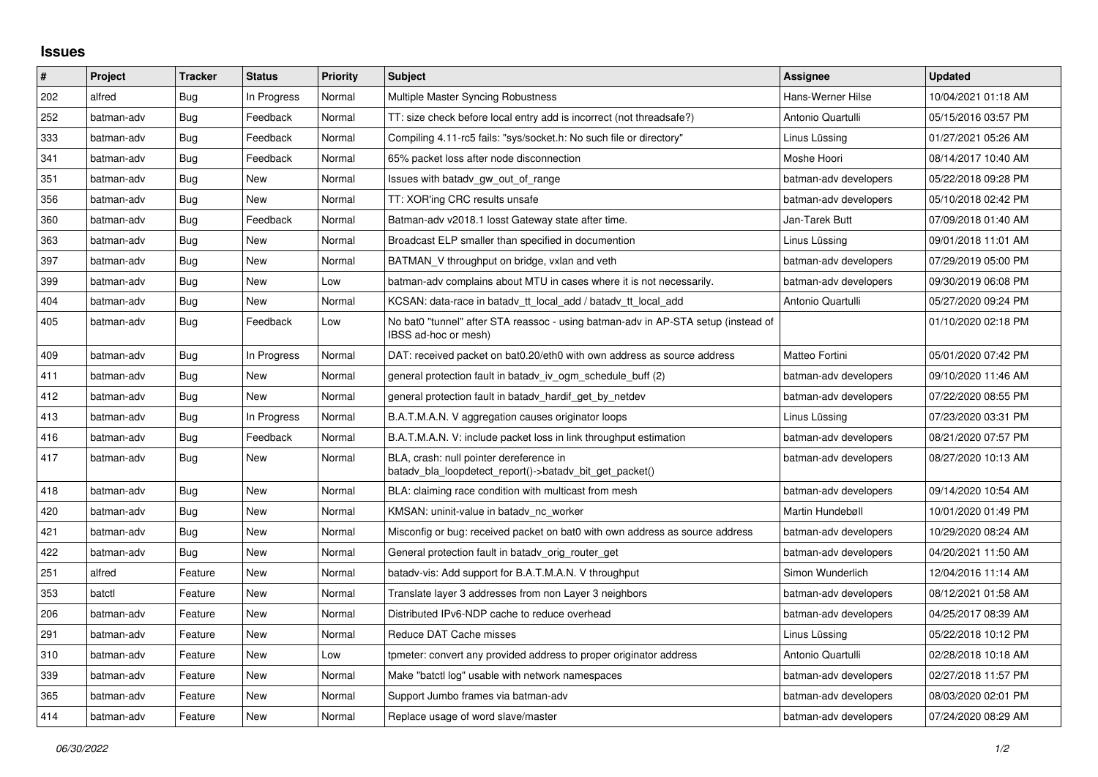## **Issues**

| $\pmb{\sharp}$ | Project    | <b>Tracker</b> | <b>Status</b> | Priority | <b>Subject</b>                                                                                            | Assignee              | <b>Updated</b>      |
|----------------|------------|----------------|---------------|----------|-----------------------------------------------------------------------------------------------------------|-----------------------|---------------------|
| 202            | alfred     | Bug            | In Progress   | Normal   | Multiple Master Syncing Robustness                                                                        | Hans-Werner Hilse     | 10/04/2021 01:18 AM |
| 252            | batman-adv | <b>Bug</b>     | Feedback      | Normal   | TT: size check before local entry add is incorrect (not threadsafe?)                                      | Antonio Quartulli     | 05/15/2016 03:57 PM |
| 333            | batman-adv | Bug            | Feedback      | Normal   | Compiling 4.11-rc5 fails: "sys/socket.h: No such file or directory"                                       | Linus Lüssing         | 01/27/2021 05:26 AM |
| 341            | batman-adv | Bug            | Feedback      | Normal   | 65% packet loss after node disconnection                                                                  | Moshe Hoori           | 08/14/2017 10:40 AM |
| 351            | batman-adv | Bug            | <b>New</b>    | Normal   | Issues with batady gw out of range                                                                        | batman-adv developers | 05/22/2018 09:28 PM |
| 356            | batman-adv | Bug            | <b>New</b>    | Normal   | TT: XOR'ing CRC results unsafe                                                                            | batman-adv developers | 05/10/2018 02:42 PM |
| 360            | batman-adv | Bug            | Feedback      | Normal   | Batman-adv v2018.1 losst Gateway state after time.                                                        | Jan-Tarek Butt        | 07/09/2018 01:40 AM |
| 363            | batman-adv | Bug            | <b>New</b>    | Normal   | Broadcast ELP smaller than specified in documention                                                       | Linus Lüssing         | 09/01/2018 11:01 AM |
| 397            | batman-adv | Bug            | <b>New</b>    | Normal   | BATMAN_V throughput on bridge, vxlan and veth                                                             | batman-adv developers | 07/29/2019 05:00 PM |
| 399            | batman-adv | <b>Bug</b>     | <b>New</b>    | Low      | batman-adv complains about MTU in cases where it is not necessarily.                                      | batman-adv developers | 09/30/2019 06:08 PM |
| 404            | batman-adv | Bug            | New           | Normal   | KCSAN: data-race in batady tt local add / batady tt local add                                             | Antonio Quartulli     | 05/27/2020 09:24 PM |
| 405            | batman-adv | Bug            | Feedback      | Low      | No bat0 "tunnel" after STA reassoc - using batman-adv in AP-STA setup (instead of<br>IBSS ad-hoc or mesh) |                       | 01/10/2020 02:18 PM |
| 409            | batman-adv | Bug            | In Progress   | Normal   | DAT: received packet on bat0.20/eth0 with own address as source address                                   | Matteo Fortini        | 05/01/2020 07:42 PM |
| 411            | batman-adv | Bug            | New           | Normal   | general protection fault in batady iv ogm_schedule_buff (2)                                               | batman-adv developers | 09/10/2020 11:46 AM |
| 412            | batman-adv | <b>Bug</b>     | <b>New</b>    | Normal   | general protection fault in batady hardif get by netdev                                                   | batman-adv developers | 07/22/2020 08:55 PM |
| 413            | batman-adv | Bug            | In Progress   | Normal   | B.A.T.M.A.N. V aggregation causes originator loops                                                        | Linus Lüssing         | 07/23/2020 03:31 PM |
| 416            | batman-adv | Bug            | Feedback      | Normal   | B.A.T.M.A.N. V: include packet loss in link throughput estimation                                         | batman-adv developers | 08/21/2020 07:57 PM |
| 417            | batman-adv | <b>Bug</b>     | New           | Normal   | BLA, crash: null pointer dereference in<br>batady bla loopdetect report()->batady bit get packet()        | batman-adv developers | 08/27/2020 10:13 AM |
| 418            | batman-adv | Bug            | <b>New</b>    | Normal   | BLA: claiming race condition with multicast from mesh                                                     | batman-adv developers | 09/14/2020 10:54 AM |
| 420            | batman-adv | <b>Bug</b>     | <b>New</b>    | Normal   | KMSAN: uninit-value in batadv_nc_worker                                                                   | Martin Hundebøll      | 10/01/2020 01:49 PM |
| 421            | batman-adv | Bug            | <b>New</b>    | Normal   | Misconfig or bug: received packet on bat0 with own address as source address                              | batman-adv developers | 10/29/2020 08:24 AM |
| 422            | batman-adv | Bug            | New           | Normal   | General protection fault in batady_orig_router_get                                                        | batman-adv developers | 04/20/2021 11:50 AM |
| 251            | alfred     | Feature        | <b>New</b>    | Normal   | batady-vis: Add support for B.A.T.M.A.N. V throughput                                                     | Simon Wunderlich      | 12/04/2016 11:14 AM |
| 353            | batctl     | Feature        | New           | Normal   | Translate layer 3 addresses from non Layer 3 neighbors                                                    | batman-adv developers | 08/12/2021 01:58 AM |
| 206            | batman-adv | Feature        | New           | Normal   | Distributed IPv6-NDP cache to reduce overhead                                                             | batman-adv developers | 04/25/2017 08:39 AM |
| 291            | batman-adv | Feature        | <b>New</b>    | Normal   | Reduce DAT Cache misses                                                                                   | Linus Lüssing         | 05/22/2018 10:12 PM |
| 310            | batman-adv | Feature        | New           | Low      | tpmeter: convert any provided address to proper originator address                                        | Antonio Quartulli     | 02/28/2018 10:18 AM |
| 339            | batman-adv | Feature        | New           | Normal   | Make "batctl log" usable with network namespaces                                                          | batman-adv developers | 02/27/2018 11:57 PM |
| 365            | batman-adv | Feature        | <b>New</b>    | Normal   | Support Jumbo frames via batman-adv                                                                       | batman-adv developers | 08/03/2020 02:01 PM |
| 414            | batman-adv | Feature        | New           | Normal   | Replace usage of word slave/master                                                                        | batman-adv developers | 07/24/2020 08:29 AM |